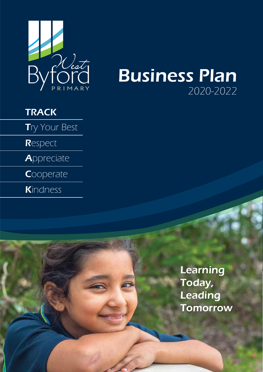

# Business Plan 2020-2022

## **TRACK**

Try Your Best

**R**espect

**Appreciate** 

**Cooperate** 

Kindness

Learning Today, Leading **Tomorrow**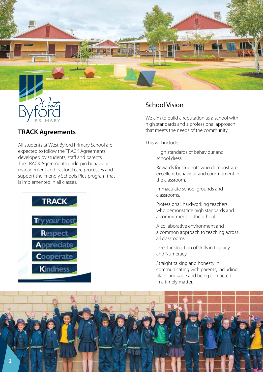

### **TRACK Agreements**

All students at West Byford Primary School are expected to follow the TRACK Agreements developed by students, staff and parents. The TRACK Agreements underpin behaviour management and pastoral care processes and support the Friendly Schools Plus program that is implemented in all classes.



## School Vision

We aim to build a reputation as a school with high standards and a professional approach that meets the needs of the community.

This will include:

- · High standards of behaviour and school dress.
- · Rewards for students who demonstrate excellent behaviour and commitment in the classroom.
- Immaculate school grounds and classrooms.
- Professional, hardworking teachers who demonstrate high standards and a commitment to the school.
- · A collaborative environment and a common approach to teaching across all classrooms.
- Direct instruction of skills in Literacy and Numeracy.
- Straight talking and honesty in communicating with parents, including plain language and being contacted in a timely matter.

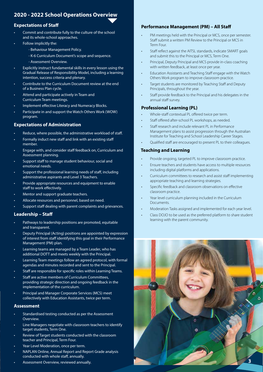### **2020 - 2022 School Operations Overview**

#### **Expectations of Staff**

- Commit and contribute fully to the culture of the school and its whole-school approaches.
- Follow implicitly the:
	- Behaviour Management Policy.
	- K-6 Curriculum Document's scope and sequence.
	- Assessment Overview.
- Explicitly instruct fundamental skills in every lesson using the Gradual Release of Responsibility Model, including a learning intention, success criteria and plenary.
- Contribute to the Curriculum Document review at the end of a Business Plan cycle.
- Attend and participate actively in Team and Curriculum Team meetings.
- Implement effective Literacy and Numeracy Blocks.
- Participate in and support the Watch Others Work (WOW) program.

### **Expectations of Administration**

- Reduce, where possible, the administrative workload of staff.
- Formally induct new staff and link with an existing staff member.
- Engage with, and consider staff feedback on, Curriculum and Assessment planning.
- Support staff to manage student behaviour, social and emotional needs.
- Support the professional learning needs of staff, including administrative aspirants and Level 3 Teachers.
- Provide appropriate resources and equipment to enable staff to work effectively.
- Mentor and support graduate teachers.
- Allocate resources and personnel, based on need.
- Support staff dealing with parent complaints and grievances.

#### **Leadership – Staff**

- Pathways to leadership positions are promoted, equitable and transparent.
- Deputy Principal (Acting) positions are appointed by expression of interest from staff identifying this goal in their Performance Management (PM) plan.
- Learning teams are managed by a Team Leader, who has additional DOTT and meets weekly with the Principal.
- Learning Team meetings follow an agreed protocol, with formal agendas and minutes recorded and sent to the Principal.
- Staff are responsible for specific roles within Learning Teams.
- Staff are active members of Curriculum Committees, providing strategic direction and ongoing feedback in the implementation of the curriculum.
- Principal and Manager Corporate Services (MCS) meet collectively with Education Assistants, twice per term.

#### **Assessment**

- Standardised testing conducted as per the Assessment **Overview**
- Line Managers negotiate with classroom teachers to identify target students, Term One.
- Review of Target students conducted with the classroom teacher and Principal, Term Four.
- Year Level Moderation, once per term.
- NAPLAN Online, Annual Report and Report Grade analysis conducted with whole staff, annually.
- Assessment Overview, reviewed annually. **3**

#### **Performance Management (PM) – All Staff**

- PM meetings held with the Principal or MCS, once per semester. Staff submit a written PM Review to the Principal or MCS in Term Four.
- Staff reflect against the AITSL standards, indicate SMART goals and submit this to the Principal or MCS, Term One.
- Principal, Deputy Principal and MCS provide in-class coaching with written feedback, at least once per year.
- Education Assistants and Teaching Staff engage with the Watch Others Work program to improve classroom practice.
- Target students are monitored by Teaching Staff and Deputy Principals, throughout the year.
- Staff provide feedback to the Principal and his delegates in the annual staff survey.

#### **Professional Learning (PL)**

- Whole-staff contextual PL offered twice per term.
- Staff offered after-school PL workshops, as needed.
- Staff research and include relevant PL in Performance Management plans to assist progression through the Australian Institute for Teaching and School Leadership Career Stages.
- Qualified staff are encouraged to present PL to their colleagues.

#### **Teaching and Learning**

- Provide ongoing, targeted PL to improve classroom practice.
- Ensure teachers and students have access to multiple resources including digital platforms and applications.
- Curriculum committees to research and assist staff implementing appropriate teaching and learning strategies.
- Specific feedback and classroom observations on effective classroom practice.
- Year level curriculum planning included in the Curriculum Documents.
- Moderation Tasks assigned and implemented for each year level.
- Class DOJO to be used as the preferred platform to share student learning with the parent community.

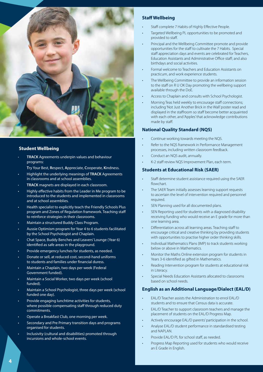

#### **Student Wellbeing**

- **TRACK** Agreements underpin values and behaviour programs:
	- **T**ry Your Best, **R**espect, **A**ppreciate, **C**ooperate, **K**indness.
- Highlight the underlying meanings of **TRACK** Agreements in classrooms and at school assemblies.
- **TRACK** magnets are displayed in each classroom.
- Highly effective habits from the Leader in Me program to be introduced to the students and implemented in classrooms and at school assemblies.
- Health specialist to explicitly teach the Friendly Schools Plus program and Zones of Regulation framework. Teaching staff to reinforce strategies in their classrooms.
- Maintain a structured Buddy Class Program.
- Aussie Optimism program for Year 4 to 6 students facilitated by the School Psychologist and Chaplain.
- Chat Space, Buddy Benches and Leavers' Lounge (Year 6) identified as safe areas in the playground.
- Provide emergency lunches for students, as needed.
- Donate or sell, at reduced cost, second-hand uniforms to students and families under financial duress.
- Maintain a Chaplain, two days per week (Federal Government funded).
- Maintain a Social Worker, two days per week (school funded).
- Maintain a School Psychologist, three days per week (school funded one day).
- Provide engaging lunchtime activities for students, where possible compensating staff through reduced duty commitments.
- Operate a Breakfast Club, one morning per week.
- Secondary and Pre Primary transition days and programs organised for students.
- Inclusivity (cultural and disabilities) promoted through incursions and whole-school events.

#### **Staff Wellbeing**

- Staff complete 7 Habits of Highly Effective People.
- Targeted Wellbeing PL opportunities to be promoted and provided to staff.
- Principal and the Wellbeing Committee promote and provide opportunities for the staff to cultivate the 7 Habits. Special staff appreciation days and events are celebrated for Teachers, Education Assistants and Administrative Office staff; and also birthdays and social activities.
- Formal welcome to Teachers and Education Assistants on practicum, and work experience students.
- The Wellbeing Committee to provide an information session to the staff on R U OK Day promoting the wellbeing support available through the DoE.
- Access to Chaplain and consults with School Psychologist.
- Morning Teas held weekly to encourage staff connections; including 'Not Just Another Brick in the Wall' poster read and displayed in the staffroom so staff become better acquainted with each other, and 'Apples' that acknowledge contributions made by staff.

#### **National Quality Standard (NQS)**

- Continue working towards meeting the NQS.
- Refer to the NQS framework in Performance Management processes, including written classroom feedback.
- Conduct an NQS audit, annually.
- K-2 staff review NQS Improvement Plan, each term.

#### **Students at Educational Risk (SAER)**

- Staff determine student assistance required using the SAER flowchart.
- The SAER Team initially assesses learning support requests to ascertain the level of intervention required and personnel required.
- SEN Planning used for all documented plans.
- SEN Reporting used for students with a diagnosed disability receiving funding who would receive an E grade for more than one learning area.
- Differentiation across all learning areas. Teaching staff to encourage critical and creative thinking by providing students with opportunities to practise higher order thinking skills.
- Individual Mathematics Plans (IMP) to track students working below or above in Mathematics.
- Monitor the Maths Online extension program for students in Years 3-6 identified as gifted in Mathematics.
- Reading Intervention program for students at educational risk in Literacy.
- Special Needs Education Assistants allocated to classrooms based on school needs.

#### **English as an Additional Language/Dialect (EAL/D)**

- EAL/D Teacher assists the Administration to enrol EAL/D students and to ensure that Census data is accurate.
- EAL/D Teacher to support classroom teachers and manage the placement of students on the EAL/D Progress Map.
- Actively encourage EAL/D parents' participation in the school.
- Analyse EAL/D student performance in standardised testing and NAPLAN.
- Provide EAL/D PL for school staff, as needed.
- Progress Map Reporting used for students who would receive an E Grade in English.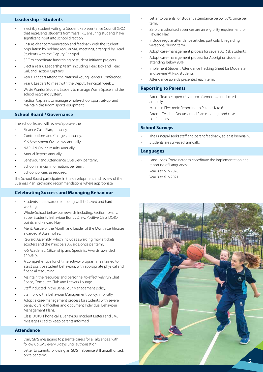#### **Leadership – Students**

- Elect (by student voting) a Student Representative Council (SRC) that represents students from Years 1-5, ensuring students have significant input into school direction.
- Ensure clear communication and feedback with the student population by holding regular SRC meetings, arranged by Head Students with the Deputy Principal.
- SRC to coordinate fundraising or student-initiated projects.
- Elect a Year 6 Leadership team, including Head Boy and Head Girl, and Faction Captains.
- Year 6 Leaders attend the National Young Leaders Conference.
- Year 6 Leaders to meet with the Deputy Principal, weekly.
- Waste Warrior Student Leaders to manage Waste Space and the school recycling system.
- Faction Captains to manage whole-school sport set-up, and maintain classroom sports equipment.

#### **School Board / Governance**

The School Board will review/approve the:

- Finance Cash Plan, annually.
- Contributions and Charges, annually.
- K-6 Assessment Overviews, annually.
- NAPLAN Online results, annually.
- Annual Report, annually.
- Behaviour and Attendance Overview, per term.
- School financial information, per term.
- School policies, as required.

The School Board participates in the development and review of the Business Plan, providing recommendations where appropriate.

#### **Celebrating Success and Managing Behaviour**

- Students are rewarded for being well-behaved and hardworking.
- Whole-School behaviour rewards including: Faction Tokens, Super Students, Behaviour Bonus Draw, Positive Class DOJO points and Reward Play.
- Merit, Aussie of the Month and Leader of the Month Certificates awarded at Assemblies.
- Reward Assembly, which includes awarding movie tickets, scooters and the Principal's Awards, once per term.
- K-6 Academic, Citizenship and Specialist Awards, awarded annually.
- A comprehensive lunchtime activity program maintained to assist positive student behaviour, with appropriate physical and financial resourcing.
- Maintain the resources and personnel to effectively run Chat Space, Computer Club and Leavers' Lounge.
- Staff inducted in the Behaviour Management policy.
- Staff follow the Behaviour Management policy, implicitly.
- Adopt a case-management process for students with severe behavioural difficulties and document Individual Behaviour Management Plans.
- Class DOJO, Phone calls, Behaviour Incident Letters and SMS messages used to keep parents informed.

#### **Attendance**

- Daily SMS messaging to parents/carers for all absences, with follow up SMS every 8 days until authorisation.
- Letter to parents following an SMS if absence still unauthorised, once per term.
- Letter to parents for student attendance below 80%, once per term.
- Zero unauthorised absences are an eligibility requirement for Reward Play.
- Include regular attendance articles, particularly regarding vacations, during term.
- Adopt case-management process for severe 'At Risk' students.
- Adopt case-management process for Aboriginal students attending below 90%.
- Implement Student Attendance Tracking Sheet for Moderate and Severe 'At Risk' students.
- Attendance awards presented each term.

### **Reporting to Parents**

- Parent-Teacher open classroom afternoons, conducted annually.
- Maintain Electronic Reporting to Parents K to 6.
- Parent Teacher Documented Plan meetings and case conferences.

#### **School Surveys**

- The Principal seeks staff and parent feedback, at least biennially.
- Students are surveyed, annually.

#### **Languages**

- Languages Coordinator to coordinate the implementation and reporting of Languages:
	- Year 3 to 5 in 2020
	- Year 3 to 6 in 2021

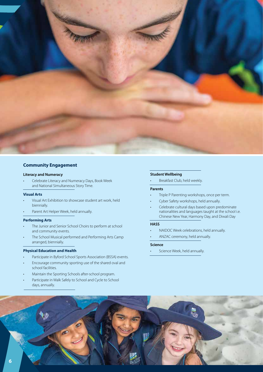

#### **Community Engagement**

#### **Literacy and Numeracy**

• Celebrate Literacy and Numeracy Days, Book Week and National Simultaneous Story Time.

#### **Visual Arts**

- Visual Art Exhibition to showcase student art work, held biennially.
- Parent Art Helper Week, held annually.

#### **Performing Arts**

- The Junior and Senior School Choirs to perform at school and community events.
- The School Musical performed and Performing Arts Camp arranged, biennially.

#### **Physical Education and Health**

- Participate in Byford School Sports Association (BSSA) events.
- Encourage community sporting use of the shared oval and school facilities.
- Maintain the Sporting Schools after-school program.
- Participate in Walk Safely to School and Cycle to School days, annually.

#### **Student Wellbeing**

Breakfast Club, held weekly.

#### **Parents**

- Triple P Parenting workshops, once per term.
- Cyber Safety workshops, held annually.
- Celebrate cultural days based upon predominate nationalities and languages taught at the school i.e. Chinese New Year, Harmony Day, and Diwali Day

#### **HASS**

- NAIDOC Week celebrations, held annually.
- ANZAC ceremony, held annually.

#### **Science**

• Science Week, held annually.

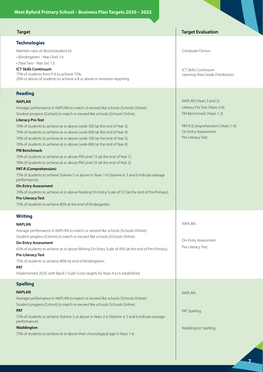| <b>Target</b>                                                                                     | <b>Target Evaluation</b>          |
|---------------------------------------------------------------------------------------------------|-----------------------------------|
| <b>Technologies</b>                                                                               |                                   |
| Maintain ratio of device/student to:                                                              | Computer Census                   |
| · (Kindergarten - Year One) 1:4                                                                   |                                   |
| · (Year Two - Year Six) 1:3                                                                       |                                   |
| <b>ICT Skills Continuum</b>                                                                       | <b>ICT Skills Continuum</b>       |
| 75% of students from P-6 to achieve 75%.                                                          | Learning Area Grade Distribution  |
| 20% or above of students to achieve a B or above in semester reporting.                           |                                   |
| <b>Reading</b>                                                                                    |                                   |
| NAPLAN                                                                                            | NAPLAN (Years 3 and 5)            |
| Average performance in NAPLAN to match or exceed like schools (Schools Online).                   | Literacy Pro Test (Years 3-6)     |
| Student progress (Cohort) to match or exceed like schools (Schools Online).                       | PM Benchmark (Years 1-2)          |
| <b>Literacy Pro Test</b>                                                                          |                                   |
| 70% of students to achieve at or above Lexile 500 (at the end of Year 3).                         | PAT-R (Comprehension) (Years 1-6) |
| 70% of students to achieve at or above Lexile 600 (at the end of Year 4).                         | On-Entry Assessment               |
| 70% of students to achieve at or above Lexile 700 (at the end of Year 5).                         | Pre-Literacy Test                 |
| 70% of students to achieve at or above Lexile 800 (at the end of Year 6).                         |                                   |
| <b>PM Benchmark</b>                                                                               |                                   |
| 70% of students to achieve at or above PM Level 15 (at the end of Year 1).                        |                                   |
| 70% of students to achieve at or above PM Level 25 (at the end of Year 2).                        |                                   |
| PAT-R (Comprehension)                                                                             |                                   |
| 75% of students to achieve Stanine 5 or above in Years 1-6 (Stanine 4, 5 and 6 indicate average   |                                   |
| performance).                                                                                     |                                   |
| <b>On-Entry Assessment</b>                                                                        |                                   |
| 70% of students to achieve at or above Reading On-Entry Scale of 551 (at the end of Pre-Primary). |                                   |
| <b>Pre-Literacy Test</b><br>75% of students to achieve 80% at the end of Kindergarten.            |                                   |
|                                                                                                   |                                   |
| <b>Writing</b>                                                                                    |                                   |
| <b>NAPLAN</b>                                                                                     | <b>NAPLAN</b>                     |
| Average performance in NAPLAN to match or exceed like schools (Schools Online).                   |                                   |
| Student progress (Cohort) to match or exceed like schools (Schools Online).                       |                                   |
| <b>On-Entry Assessment</b>                                                                        | On-Entry Assessment               |
| 65% of students to achieve at or above Writing On-Entry Scale of 450 (at the end of Pre-Primary). | Pre-Literacy Test                 |
| Pre-Literacy Test                                                                                 |                                   |
| 75% of students to achieve 80% by end of Kindergarten.                                            |                                   |
| PAT                                                                                               |                                   |
| Implemented 2020, with Band / Scale Score targets for Years 4 to 6 established.                   |                                   |
| <b>Spelling</b>                                                                                   |                                   |
| <b>NAPLAN</b>                                                                                     | <b>NAPLAN</b>                     |
| Average performance in NAPLAN to match or exceed like schools (Schools Online).                   |                                   |
| Student progress (Cohort) to match or exceed like schools (Schools Online).                       |                                   |
| <b>PAT</b>                                                                                        | PAT Spelling                      |
| 75% of students to achieve Stanine 5 or above in Years 2-6 (Stanine 4, 5 and 6 indicate average   |                                   |
| performance).                                                                                     |                                   |
| Waddington                                                                                        | Waddington Spelling               |
| 75% of students to achieve at or above their chronological age in Years 1-6.                      |                                   |
|                                                                                                   |                                   |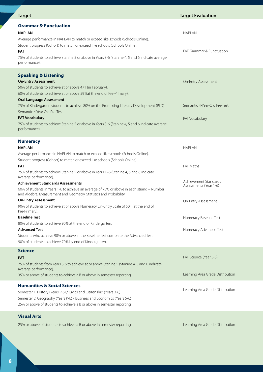| <b>Target</b>                                                                                                                                                                                                                                                                                                                                                                      | <b>Target Evaluation</b>                                     |
|------------------------------------------------------------------------------------------------------------------------------------------------------------------------------------------------------------------------------------------------------------------------------------------------------------------------------------------------------------------------------------|--------------------------------------------------------------|
| <b>Grammar &amp; Punctuation</b><br><b>NAPLAN</b><br>Average performance in NAPLAN to match or exceed like schools (Schools Online).<br>Student progress (Cohort) to match or exceed like schools (Schools Online).<br>PAT<br>75% of students to achieve Stanine 5 or above in Years 3-6 (Stanine 4, 5 and 6 indicate average                                                      | <b>NAPLAN</b><br>PAT Grammar & Punctuation                   |
| performance).<br><b>Speaking &amp; Listening</b><br><b>On-Entry Assessment</b><br>50% of students to achieve at or above 471 (in February).                                                                                                                                                                                                                                        | On-Entry Assessment                                          |
| 60% of students to achieve at or above 591 (at the end of Pre-Primary).<br><b>Oral Language Assessment</b><br>75% of Kindergarten students to achieve 80% on the Promoting Literacy Development (PLD)<br>Semantic 4 Year Old Pre-Test<br><b>PAT Vocabulary</b><br>75% of students to achieve Stanine 5 or above in Years 3-6 (Stanine 4, 5 and 6 indicate average<br>performance). | Semantic 4-Year-Old Pre-Test<br>PAT Vocabulary               |
| <b>Numeracy</b><br><b>NAPLAN</b><br>Average performance in NAPLAN to match or exceed like schools (Schools Online).<br>Student progress (Cohort) to match or exceed like schools (Schools Online).                                                                                                                                                                                 | <b>NAPLAN</b>                                                |
| PAT<br>75% of students to achieve Stanine 5 or above in Years 1-6 (Stanine 4, 5 and 6 indicate<br>average performance).<br><b>Achievement Standards Assessments</b>                                                                                                                                                                                                                | PAT Maths<br>Achievement Standards<br>Assessments (Year 1-6) |
| 60% of students in Years 1-6 to achieve an average of 75% or above in each strand - Number<br>and Algebra, Measurement and Geometry, Statistics and Probability.<br><b>On-Entry Assessment</b><br>90% of students to achieve at or above Numeracy On-Entry Scale of 501 (at the end of<br>Pre-Primary).                                                                            | On-Entry Assessment                                          |
| <b>Baseline Test</b><br>80% of students to achieve 90% at the end of Kindergarten.<br><b>Advanced Test</b><br>Students who achieve 90% or above in the Baseline Test complete the Advanced Test.                                                                                                                                                                                   | Numeracy Baseline Test<br>Numeracy Advanced Test             |
| 90% of students to achieve 70% by end of Kindergarten.<br><b>Science</b><br><b>PAT</b><br>75% of students from Years 3-6 to achieve at or above Stanine 5 (Stanine 4, 5 and 6 indicate<br>average performance).                                                                                                                                                                    | PAT Science (Year 3-6)                                       |
| 35% or above of students to achieve a B or above in semester reporting.                                                                                                                                                                                                                                                                                                            | Learning Area Grade Distribution                             |
| <b>Humanities &amp; Social Sciences</b><br>Semester 1: History (Years P-6) / Civics and Citizenship (Years 3-6)<br>Semester 2: Geography (Years P-6) / Business and Economics (Years 5-6)<br>25% or above of students to achieve a B or above in semester reporting.                                                                                                               | Learning Area Grade Distribution                             |
| <b>Visual Arts</b><br>25% or above of students to achieve a B or above in semester reporting.                                                                                                                                                                                                                                                                                      | Learning Area Grade Distribution                             |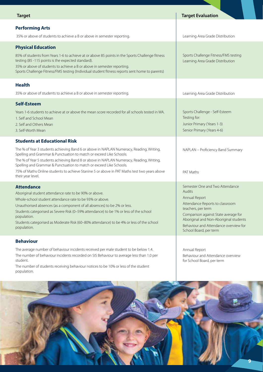| <b>Target</b>                                                                                                                                                                                                                                                                                                                                                                                                                                                                                  | <b>Target Evaluation</b>                                                                                                                                                                                                                                                 |
|------------------------------------------------------------------------------------------------------------------------------------------------------------------------------------------------------------------------------------------------------------------------------------------------------------------------------------------------------------------------------------------------------------------------------------------------------------------------------------------------|--------------------------------------------------------------------------------------------------------------------------------------------------------------------------------------------------------------------------------------------------------------------------|
| <b>Performing Arts</b><br>35% or above of students to achieve a B or above in semester reporting.                                                                                                                                                                                                                                                                                                                                                                                              | Learning Area Grade Distribution                                                                                                                                                                                                                                         |
| <b>Physical Education</b><br>85% of students from Years 1-6 to achieve at or above 85 points in the Sports Challenge fitness<br>testing (85 -115 points is the expected standard).<br>35% or above of students to achieve a B or above in semester reporting.<br>Sports Challenge Fitness/FMS testing (Individual student fitness reports sent home to parents)                                                                                                                                | Sports Challenge Fitness/FMS testing<br>Learning Area Grade Distribution                                                                                                                                                                                                 |
| <b>Health</b><br>35% or above of students to achieve a B or above in semester reporting.                                                                                                                                                                                                                                                                                                                                                                                                       | Learning Area Grade Distribution                                                                                                                                                                                                                                         |
| <b>Self-Esteem</b><br>Years 1-6 students to achieve at or above the mean score recorded for all schools tested in WA.<br>1. Self and School Mean<br>2. Self and Others Mean<br>3. Self-Worth Mean                                                                                                                                                                                                                                                                                              | Sports Challenge - Self-Esteem<br>Testing for:<br>Junior Primary (Years 1-3)<br>Senior Primary (Years 4-6)                                                                                                                                                               |
| <b>Students at Educational Risk</b><br>The % of Year 3 students achieving Band 6 or above in NAPLAN Numeracy, Reading, Writing,<br>Spelling and Grammar & Punctuation to match or exceed Like Schools.<br>The % of Year 5 students achieving Band 8 or above in NAPLAN Numeracy, Reading, Writing,<br>Spelling and Grammar & Punctuation to match or exceed Like Schools.<br>75% of Maths Online students to achieve Stanine 5 or above in PAT Maths test two years above<br>their year level. | NAPLAN - Proficiency Band Summary<br>PAT Maths                                                                                                                                                                                                                           |
| <b>Attendance</b><br>Aboriginal student attendance rate to be 90% or above.<br>Whole-school student attendance rate to be 93% or above.<br>Unauthorised absences (as a component of all absences) to be 2% or less.<br>Students categorised as Severe Risk (0-59% attendance) to be 1% or less of the school<br>population.<br>Students categorised as Moderate Risk (60-80% attendance) to be 4% or less of the school<br>population.                                                         | Semester One and Two Attendance<br>Audits<br>Annual Report<br>Attendance Reports to classroom<br>teachers, per term<br>Comparison against State average for<br>Aboriginal and Non-Aboriginal students<br>Behaviour and Attendance overview for<br>School Board, per term |
| <b>Behaviour</b><br>The average number of behaviour incidents received per male student to be below 1.4.<br>The number of behaviour incidents recorded on SIS Behaviour to average less than 1.0 per<br>student.                                                                                                                                                                                                                                                                               | Annual Report<br>Behaviour and Attendance overview<br>for School Board, per term                                                                                                                                                                                         |

The number of students receiving behaviour notices to be 10% or less of the student population.

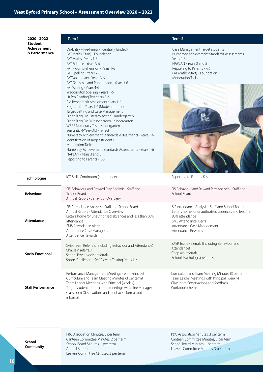| 2020 - 2022                                           | Term 1                                                                                                                                                                                                                                                                                                                                                                                                                                                                                                                                                                                                                                                                                                                                                                                                                                                                                                           | Term 2                                                                                                                                                                                                   |
|-------------------------------------------------------|------------------------------------------------------------------------------------------------------------------------------------------------------------------------------------------------------------------------------------------------------------------------------------------------------------------------------------------------------------------------------------------------------------------------------------------------------------------------------------------------------------------------------------------------------------------------------------------------------------------------------------------------------------------------------------------------------------------------------------------------------------------------------------------------------------------------------------------------------------------------------------------------------------------|----------------------------------------------------------------------------------------------------------------------------------------------------------------------------------------------------------|
| <b>Student</b><br><b>Achievement</b><br>& Performance | On-Entry - Pre-Primary (centrally funded)<br>PAT Maths (Start) - Foundation<br>PAT Maths - Years 1-6<br>PAT Science - Years 3-6<br>PAT R Comprehension - Years 1-6<br>PAT Spelling - Years 2-6<br>PAT Vocabulary - Years 3-6<br>PAT Grammar and Punctuation - Years 3-6<br>PAT Writing - Years 4-6<br>Waddington Spelling - Years 1-6<br>Lit Pro Reading Test Years 3-6<br>PM Benchmark Assessment Years 1-2<br>Brightpath - Years 1-6 (Moderation Tool)<br>Target Setting and Case Management<br>Diana Rigg Pre-Literacy screen - Kindergarten<br>Diana Rigg Pre-Writing screen - Kindergarten<br>WBPS Numeracy Test - Kindergarten<br>Semantic 4-Year-Old Pre-Test<br>Numeracy Achievement Standards Assessments - Years 1-6<br>Identification of Target students<br><b>Moderation Tasks</b><br>Numeracy Achievement Standards Assessments - Years 1-6<br>NAPLAN - Years 3 and 5<br>Reporting to Parents - K-6 | Case Management Target students<br>Numeracy Achievement Standards Assessments<br>Years 1-6<br>NAPLAN - Years 3 and 5<br>Reporting to Parents - K-6<br>PAT Maths (Start) - Foundation<br>Moderation Tasks |
| <b>Technologies</b>                                   | ICT Skills Continuum (commence)                                                                                                                                                                                                                                                                                                                                                                                                                                                                                                                                                                                                                                                                                                                                                                                                                                                                                  | Reporting to Parents K-6                                                                                                                                                                                 |
| <b>Behaviour</b>                                      | SIS Behaviour and Reward Play Analysis - Staff and<br>School Board<br>Annual Report - Behaviour Overview                                                                                                                                                                                                                                                                                                                                                                                                                                                                                                                                                                                                                                                                                                                                                                                                         | SIS Behaviour and Reward Play Analysis - Staff and<br>School Board                                                                                                                                       |
| Attendance                                            | SIS Attendance Analysis - Staff and School Board<br>Annual Report - Attendance Overview<br>Letters home for unauthorised absences and less than 80%<br>attendance<br>SMS Attendance Alerts<br>Attendance Case Management<br>Attendance Rewards                                                                                                                                                                                                                                                                                                                                                                                                                                                                                                                                                                                                                                                                   | SIS Attendance Analysis - Staff and School Board<br>Letters home for unauthorised absences and less than<br>80% attendance<br>SMS Attendance Alerts<br>Attendance Case Management<br>Attendance Rewards  |
| Socio-Emotional                                       | SAER Team Referrals (including Behaviour and Attendance)<br>Chaplain referrals<br>School Psychologist referrals<br>Sports Challenge - Self-Esteem Testing, Years 1-6                                                                                                                                                                                                                                                                                                                                                                                                                                                                                                                                                                                                                                                                                                                                             | SAER Team Referrals (including Behaviour and<br>Attendance)<br>Chaplain referrals<br>School Psychologist referrals                                                                                       |
| <b>Staff Performance</b>                              | Performance Management Meetings - with Principal<br>Curriculum and Team Meeting Minutes (3 per term)<br>Team Leader Meetings with Principal (weekly)<br>Target student identification meetings with Line Manager<br>Classroom Observations and feedback - formal and<br>informal                                                                                                                                                                                                                                                                                                                                                                                                                                                                                                                                                                                                                                 | Curriculum and Team Meeting Minutes (3 per term)<br>Team Leader Meetings with Principal (weekly)<br>Classroom Observations and feedback<br>Workbook checks                                               |
| School<br>Community                                   | P&C Association Minutes, 3 per term<br>Canteen Committee Minutes, 2 per term<br>School Board Minutes, 1 per term<br>Annual Report<br>Leavers Committee Minutes, 3 per term                                                                                                                                                                                                                                                                                                                                                                                                                                                                                                                                                                                                                                                                                                                                       | P&C Association Minutes, 3 per term<br>Canteen Committee Minutes, 3 per term<br>School Board Minutes, 1 per term.<br>Leavers Committee Minutes, 3 per term                                               |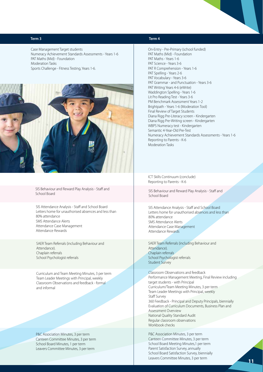Case Management Target students Numeracy Achievement Standards Assessments - Years 1-6 PAT Maths (Mid) - Foundation Moderation Tasks Sports Challenge - Fitness Testing, Years 1-6.



SIS Behaviour and Reward Play Analysis - Staff and School Board

SIS Attendance Analysis - Staff and School Board Letters home for unauthorised absences and less than 80% attendance SMS Attendance Alerts Attendance Case Management Attendance Rewards

SAER Team Referrals (including Behaviour and Attendance). Chaplain referrals School Psychologist referrals

Curriculum and Team Meeting Minutes, 3 per term Team Leader Meetings with Principal, weekly Classroom Observations and feedback - formal and informal

P&C Association Minutes, 3 per term Canteen Committee Minutes, 3 per term School Board Minutes, 1 per term Leavers Committee Minutes, 3 per term

#### **Term 1 Term 2 Term 3 Term 4**

On-Entry - Pre-Primary (school funded) PAT Maths (Mid) - Foundation PAT Maths - Years 1-6 PAT Science - Years 3-6 PAT R Comprehension - Years 1-6 PAT Spelling - Years 2-6 PAT Vocabulary - Years 3-6 PAT Grammar - and Punctuation - Years 3-6 PAT Writing Years 4-6 (eWrite) Waddington Spelling - Years 1-6 Lit Pro Reading Test - Years 3-6 PM Benchmark Assessment Years 1-2 Brightpath - Years 1-6 (Moderation Tool) Final Review of Target Students Diana Rigg Pre-Literacy screen - Kindergarten Diana Rigg Pre-Writing screen - Kindergarten WBPS Numeracy test - Kindergarten Semantic 4-Year-Old Pre-Test Numeracy Achievement Standards Assessments - Years 1-6 Reporting to Parents - K-6 Moderation Tasks

ICT Skills Continuum (conclude) Reporting to Parents - K-6

SIS Behaviour and Reward Play Analysis - Staff and School Board

SIS Attendance Analysis - Staff and School Board Letters home for unauthorised absences and less than 80% attendance SMS Attendance Alerts Attendance Case Management Attendance Rewards

SAER Team Referrals (including Behaviour and Attendance). Chaplain referrals School Psychologist referrals Student Survey

Classroom Observations and feedback Performance Management Meeting, Final Review including target students - with Principal Curriculum/Team Meeting Minutes, 3 per term Team Leader Meetings with Principal, weekly Staff Survey 360 Feedback - Principal and Deputy Principals, biennially Evaluation of Curriculum Documents, Business Plan and Assessment Overview National Quality Standard Audit Regular classroom observations Workbook checks

P&C Association Minutes, 3 per term Canteen Committee Minutes, 3 per term School Board Meeting Minutes,1 per term Parent Satisfaction Survey, annually School Board Satisfaction Survey, biennially Leavers Committee Minutes, 3 per term